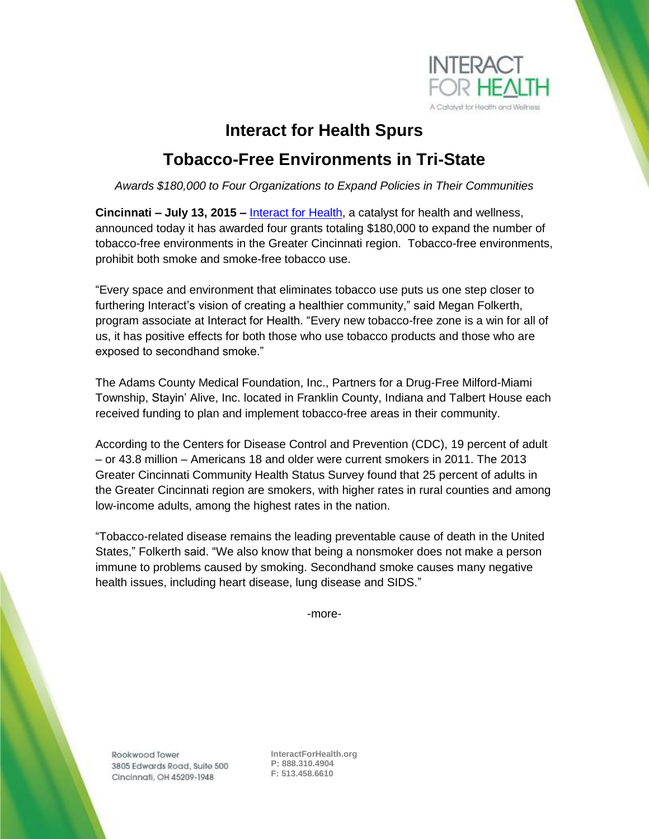

## **Interact for Health Spurs Tobacco-Free Environments in Tri-State**

*Awards \$180,000 to Four Organizations to Expand Policies in Their Communities*

**Cincinnati – July 13, 2015 –** [Interact for Health,](http://www.interactforhealth.org/) a catalyst for health and wellness, announced today it has awarded four grants totaling \$180,000 to expand the number of tobacco-free environments in the Greater Cincinnati region. Tobacco-free environments, prohibit both smoke and smoke-free tobacco use.

"Every space and environment that eliminates tobacco use puts us one step closer to furthering Interact's vision of creating a healthier community," said Megan Folkerth, program associate at Interact for Health. "Every new tobacco-free zone is a win for all of us, it has positive effects for both those who use tobacco products and those who are exposed to secondhand smoke."

The Adams County Medical Foundation, Inc., Partners for a Drug-Free Milford-Miami Township, Stayin' Alive, Inc. located in Franklin County, Indiana and Talbert House each received funding to plan and implement tobacco-free areas in their community.

According to the Centers for Disease Control and Prevention (CDC), 19 percent of adult – or 43.8 million – Americans 18 and older were current smokers in 2011. The 2013 Greater Cincinnati Community Health Status Survey found that 25 percent of adults in the Greater Cincinnati region are smokers, with higher rates in rural counties and among low-income adults, among the highest rates in the nation.

"Tobacco-related disease remains the leading preventable cause of death in the United States," Folkerth said. "We also know that being a nonsmoker does not make a person immune to problems caused by smoking. Secondhand smoke causes many negative health issues, including heart disease, lung disease and SIDS."

-more-

Rookwood Tower 3805 Edwards Road, Suite 500 Cincinnati, OH 45209-1948

**InteractForHealth.org P: 888.310.4904 F: 513.458.6610**